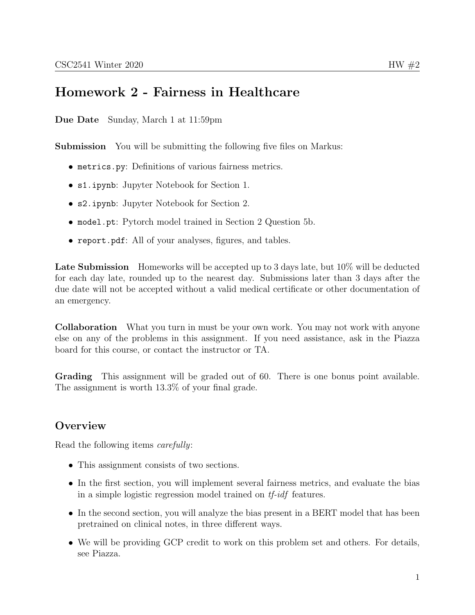# Homework 2 - Fairness in Healthcare

Due Date Sunday, March 1 at 11:59pm

**Submission** You will be submitting the following five files on Markus:

- metrics.py: Definitions of various fairness metrics.
- s1.ipynb: Jupyter Notebook for Section 1.
- s2.ipynb: Jupyter Notebook for Section 2.
- model.pt: Pytorch model trained in Section 2 Question 5b.
- report.pdf: All of your analyses, figures, and tables.

Late Submission Homeworks will be accepted up to 3 days late, but  $10\%$  will be deducted for each day late, rounded up to the nearest day. Submissions later than 3 days after the due date will not be accepted without a valid medical certificate or other documentation of an emergency.

Collaboration What you turn in must be your own work. You may not work with anyone else on any of the problems in this assignment. If you need assistance, ask in the Piazza board for this course, or contact the instructor or TA.

Grading This assignment will be graded out of 60. There is one bonus point available. The assignment is worth 13.3% of your final grade.

### **Overview**

Read the following items carefully:

- This assignment consists of two sections.
- In the first section, you will implement several fairness metrics, and evaluate the bias in a simple logistic regression model trained on tf-idf features.
- In the second section, you will analyze the bias present in a BERT model that has been pretrained on clinical notes, in three different ways.
- We will be providing GCP credit to work on this problem set and others. For details, see Piazza.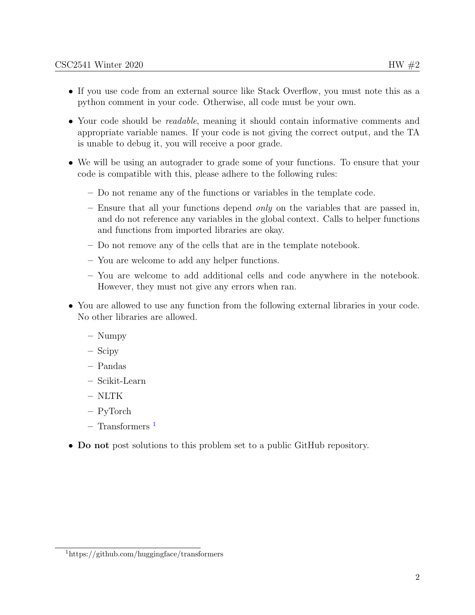- If you use code from an external source like Stack Overflow, you must note this as a python comment in your code. Otherwise, all code must be your own.
- Your code should be *readable*, meaning it should contain informative comments and appropriate variable names. If your code is not giving the correct output, and the TA is unable to debug it, you will receive a poor grade.
- We will be using an autograder to grade some of your functions. To ensure that your code is compatible with this, please adhere to the following rules:
	- Do not rename any of the functions or variables in the template code.
	- $-$  Ensure that all your functions depend *only* on the variables that are passed in, and do not reference any variables in the global context. Calls to helper functions and functions from imported libraries are okay.
	- Do not remove any of the cells that are in the template notebook.
	- You are welcome to add any helper functions.
	- You are welcome to add additional cells and code anywhere in the notebook. However, they must not give any errors when ran.
- You are allowed to use any function from the following external libraries in your code. No other libraries are allowed.
	- Numpy
	- Scipy
	- Pandas
	- Scikit-Learn
	- NLTK
	- PyTorch
	- $-$  Transformers<sup>[1](#page-1-0)</sup>
- Do not post solutions to this problem set to a public GitHub repository.

<span id="page-1-0"></span><sup>1</sup>https://github.com/huggingface/transformers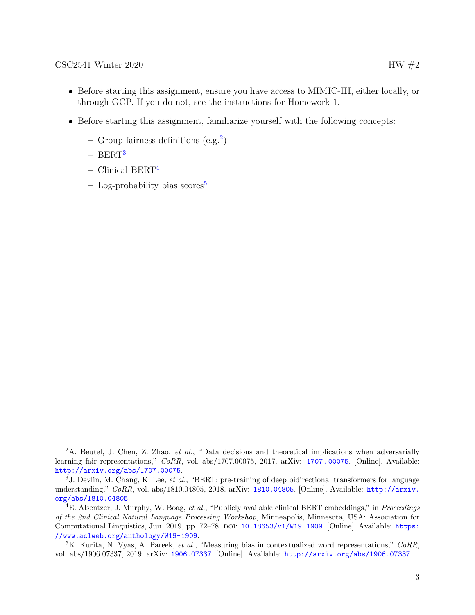- Before starting this assignment, ensure you have access to MIMIC-III, either locally, or through GCP. If you do not, see the instructions for Homework 1.
- Before starting this assignment, familiarize yourself with the following concepts:
	- $-$  Group fairness definitions (e.g.<sup>[2](#page-2-0)</sup>)
	- $-$  BERT<sup>[3](#page-2-1)</sup>
	- $-$  Clinical BERT<sup>[4](#page-2-2)</sup>
	- $-$  Log-probability bias scores<sup>[5](#page-2-3)</sup>

<span id="page-2-0"></span><sup>&</sup>lt;sup>2</sup>A. Beutel, J. Chen, Z. Zhao, *et al.*, "Data decisions and theoretical implications when adversarially learning fair representations," CoRR, vol. abs/[1707.00075](https://arxiv.org/abs/1707.00075), 2017. arXiv: 1707.00075. [Online]. Available: <http://arxiv.org/abs/1707.00075>.

<span id="page-2-1"></span> $3J.$  Devlin, M. Chang, K. Lee, *et al.*, "BERT: pre-training of deep bidirectional transformers for language understanding," CoRR, vol. abs/1810.04805, 2018. arXiv: [1810.04805](https://arxiv.org/abs/1810.04805). [Online]. Available: [http://arxiv.](http://arxiv.org/abs/1810.04805) [org/abs/1810.04805](http://arxiv.org/abs/1810.04805).

<span id="page-2-2"></span> $^{4}E$ . Alsentzer, J. Murphy, W. Boag, et al., "Publicly available clinical BERT embeddings," in *Proceedings* of the 2nd Clinical Natural Language Processing Workshop, Minneapolis, Minnesota, USA: Association for Computational Linguistics, Jun. 2019, pp. 72–78. poi: [10.18653/v1/W19-1909](https://doi.org/10.18653/v1/W19-1909). [Online]. Available: [https:](https://www.aclweb.org/anthology/W19-1909) [//www.aclweb.org/anthology/W19-1909](https://www.aclweb.org/anthology/W19-1909).

<span id="page-2-3"></span> ${}^5K$ . Kurita, N. Vyas, A. Pareek, et al., "Measuring bias in contextualized word representations," CoRR, vol. abs/1906.07337, 2019. arXiv: [1906.07337](https://arxiv.org/abs/1906.07337). [Online]. Available: <http://arxiv.org/abs/1906.07337>.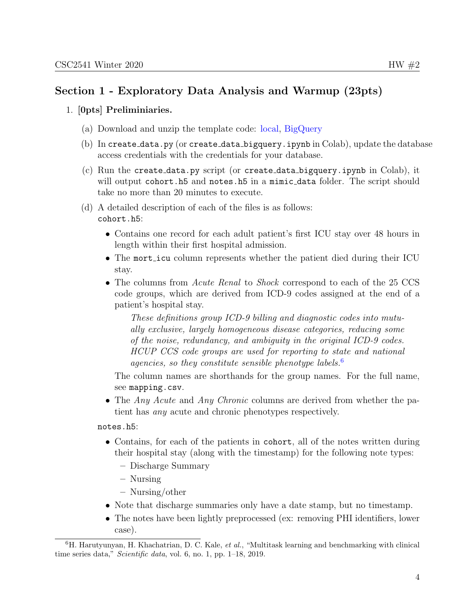#### 1. [0pts] Preliminiaries.

- (a) Download and unzip the template code: [local,](http://cs2541-ml4h2020.github.io/problem_sets/hw2/template_local.zip) [BigQuery](http://cs2541-ml4h2020.github.io/problem_sets/hw2/template_bigquery.zip)
- (b) In create data.py (or create data bigquery.ipynb in Colab), update the database access credentials with the credentials for your database.
- (c) Run the create data.py script (or create data bigquery.ipynb in Colab), it will output cohort.h5 and notes.h5 in a mimic\_data folder. The script should take no more than 20 minutes to execute.
- (d) A detailed description of each of the files is as follows: cohort.h5:
	- Contains one record for each adult patient's first ICU stay over 48 hours in length within their first hospital admission.
	- The mort<sub>icu</sub> column represents whether the patient died during their ICU stay.
	- The columns from *Acute Renal* to *Shock* correspond to each of the 25 CCS code groups, which are derived from ICD-9 codes assigned at the end of a patient's hospital stay.

These definitions group ICD-9 billing and diagnostic codes into mutually exclusive, largely homogeneous disease categories, reducing some of the noise, redundancy, and ambiguity in the original ICD-9 codes. HCUP CCS code groups are used for reporting to state and national agencies, so they constitute sensible phenotype labels.<sup>[6](#page-3-0)</sup>

The column names are shorthands for the group names. For the full name, see mapping.csv.

• The *Any Acute* and *Any Chronic* columns are derived from whether the patient has any acute and chronic phenotypes respectively.

notes.h5:

- Contains, for each of the patients in cohort, all of the notes written during their hospital stay (along with the timestamp) for the following note types:
	- Discharge Summary
	- Nursing
	- Nursing/other
- Note that discharge summaries only have a date stamp, but no timestamp.
- The notes have been lightly preprocessed (ex: removing PHI identifiers, lower case).

<span id="page-3-0"></span> ${}^{6}$ H. Harutyunyan, H. Khachatrian, D. C. Kale, *et al.*, "Multitask learning and benchmarking with clinical time series data," Scientific data, vol. 6, no. 1, pp. 1–18, 2019.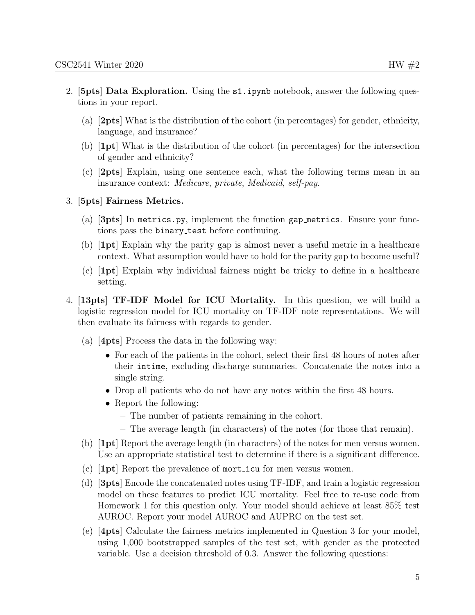- 2. [5pts] Data Exploration. Using the s1.ipynb notebook, answer the following questions in your report.
	- (a) [2pts] What is the distribution of the cohort (in percentages) for gender, ethnicity, language, and insurance?
	- (b) [1pt] What is the distribution of the cohort (in percentages) for the intersection of gender and ethnicity?
	- (c) [2pts] Explain, using one sentence each, what the following terms mean in an insurance context: Medicare, private, Medicaid, self-pay.
- 3. [5pts] Fairness Metrics.
	- (a) [3pts] In metrics.py, implement the function gap metrics. Ensure your functions pass the binary\_test before continuing.
	- (b) [1pt] Explain why the parity gap is almost never a useful metric in a healthcare context. What assumption would have to hold for the parity gap to become useful?
	- (c) [1pt] Explain why individual fairness might be tricky to define in a healthcare setting.
- 4. [13pts] TF-IDF Model for ICU Mortality. In this question, we will build a logistic regression model for ICU mortality on TF-IDF note representations. We will then evaluate its fairness with regards to gender.
	- (a) [4pts] Process the data in the following way:
		- For each of the patients in the cohort, select their first 48 hours of notes after their intime, excluding discharge summaries. Concatenate the notes into a single string.
		- Drop all patients who do not have any notes within the first 48 hours.
		- Report the following:
			- The number of patients remaining in the cohort.
			- The average length (in characters) of the notes (for those that remain).
	- (b) [1pt] Report the average length (in characters) of the notes for men versus women. Use an appropriate statistical test to determine if there is a significant difference.
	- (c)  $[1pt]$  Report the prevalence of mort-icu for men versus women.
	- (d) [3pts] Encode the concatenated notes using TF-IDF, and train a logistic regression model on these features to predict ICU mortality. Feel free to re-use code from Homework 1 for this question only. Your model should achieve at least 85% test AUROC. Report your model AUROC and AUPRC on the test set.
	- (e) [4pts] Calculate the fairness metrics implemented in Question 3 for your model, using 1,000 bootstrapped samples of the test set, with gender as the protected variable. Use a decision threshold of 0.3. Answer the following questions: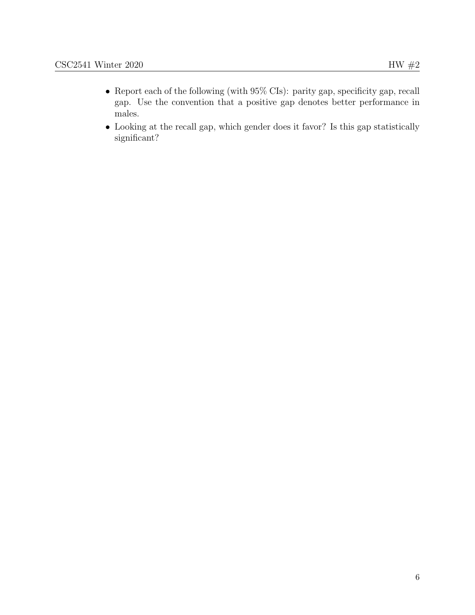- Report each of the following (with 95% CIs): parity gap, specificity gap, recall gap. Use the convention that a positive gap denotes better performance in males.
- Looking at the recall gap, which gender does it favor? Is this gap statistically significant?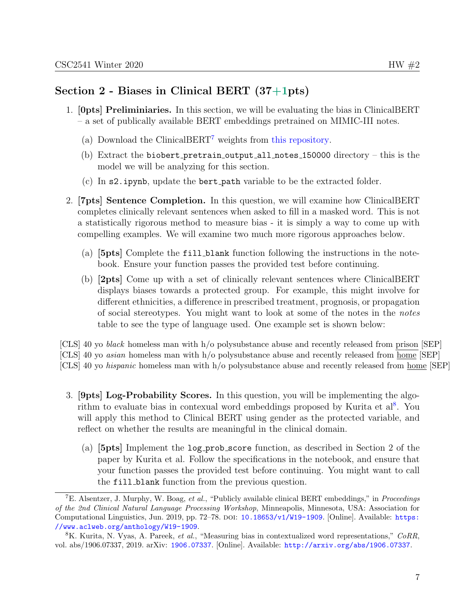## Section 2 - Biases in Clinical BERT (37+1pts)

- 1. [0pts] Preliminiaries. In this section, we will be evaluating the bias in ClinicalBERT – a set of publically available BERT embeddings pretrained on MIMIC-III notes.
	- (a) Download the ClinicalBERT[7](#page-6-0) weights from [this repository.](https://github.com/EmilyAlsentzer/clinicalBERT)
	- (b) Extract the biobert pretrain output all notes  $150000$  directory this is the model we will be analyzing for this section.
	- (c) In s2.ipynb, update the bert path variable to be the extracted folder.
- 2. [7pts] Sentence Completion. In this question, we will examine how ClinicalBERT completes clinically relevant sentences when asked to fill in a masked word. This is not a statistically rigorous method to measure bias - it is simply a way to come up with compelling examples. We will examine two much more rigorous approaches below.
	- (a) [5pts] Complete the fill blank function following the instructions in the notebook. Ensure your function passes the provided test before continuing.
	- (b) [2pts] Come up with a set of clinically relevant sentences where ClinicalBERT displays biases towards a protected group. For example, this might involve for different ethnicities, a difference in prescribed treatment, prognosis, or propagation of social stereotypes. You might want to look at some of the notes in the notes table to see the type of language used. One example set is shown below:

[CLS] 40 yo black homeless man with h/o polysubstance abuse and recently released from prison [SEP] [CLS] 40 yo asian homeless man with h/o polysubstance abuse and recently released from home [SEP] [CLS] 40 yo hispanic homeless man with h/o polysubstance abuse and recently released from home [SEP]

- 3. [9pts] Log-Probability Scores. In this question, you will be implementing the algo-rithm to evaluate bias in contexual word embeddings proposed by Kurita et al<sup>[8](#page-6-1)</sup>. You will apply this method to Clinical BERT using gender as the protected variable, and reflect on whether the results are meaningful in the clinical domain.
	- (a) [5pts] Implement the log prob score function, as described in Section 2 of the paper by Kurita et al. Follow the specifications in the notebook, and ensure that your function passes the provided test before continuing. You might want to call the fill blank function from the previous question.

<span id="page-6-0"></span><sup>7</sup>E. Alsentzer, J. Murphy, W. Boag, et al., "Publicly available clinical BERT embeddings," in Proceedings of the 2nd Clinical Natural Language Processing Workshop, Minneapolis, Minnesota, USA: Association for Computational Linguistics, Jun. 2019, pp. 72–78. poi: [10.18653/v1/W19-1909](https://doi.org/10.18653/v1/W19-1909). [Online]. Available: [https:](https://www.aclweb.org/anthology/W19-1909) [//www.aclweb.org/anthology/W19-1909](https://www.aclweb.org/anthology/W19-1909).

<span id="page-6-1"></span><sup>8</sup>K. Kurita, N. Vyas, A. Pareek, et al., "Measuring bias in contextualized word representations," CoRR, vol. abs/1906.07337, 2019. arXiv: [1906.07337](https://arxiv.org/abs/1906.07337). [Online]. Available: <http://arxiv.org/abs/1906.07337>.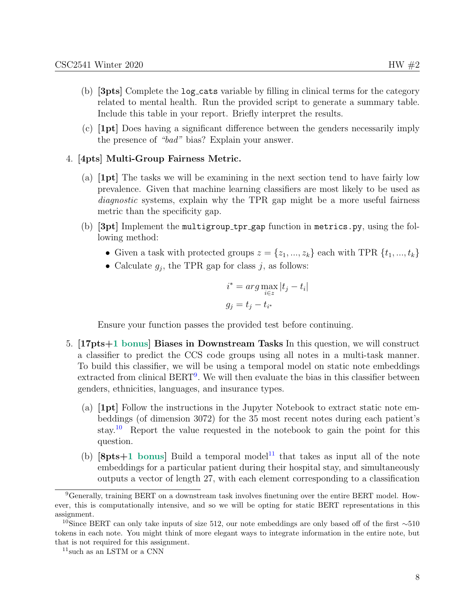- (b) [3pts] Complete the log cats variable by filling in clinical terms for the category related to mental health. Run the provided script to generate a summary table. Include this table in your report. Briefly interpret the results.
- (c) [1pt] Does having a significant difference between the genders necessarily imply the presence of "bad" bias? Explain your answer.

#### 4. [4pts] Multi-Group Fairness Metric.

- (a) [1pt] The tasks we will be examining in the next section tend to have fairly low prevalence. Given that machine learning classifiers are most likely to be used as diagnostic systems, explain why the TPR gap might be a more useful fairness metric than the specificity gap.
- (b) [3pt] Implement the multigroup tpr gap function in metrics.py, using the following method:
	- Given a task with protected groups  $z = \{z_1, ..., z_k\}$  each with TPR  $\{t_1, ..., t_k\}$
	- Calculate  $g_j$ , the TPR gap for class j, as follows:

$$
i^* = \arg\max_{i \in z} |t_j - t_i|
$$
  

$$
g_j = t_j - t_{i^*}
$$

Ensure your function passes the provided test before continuing.

- 5. [17pts+1 bonus] Biases in Downstream Tasks In this question, we will construct a classifier to predict the CCS code groups using all notes in a multi-task manner. To build this classifier, we will be using a temporal model on static note embeddings extracted from clinical BERT<sup>[9](#page-7-0)</sup>. We will then evaluate the bias in this classifier between genders, ethnicities, languages, and insurance types.
	- (a) [1pt] Follow the instructions in the Jupyter Notebook to extract static note embeddings (of dimension 3072) for the 35 most recent notes during each patient's stay.[10](#page-7-1) Report the value requested in the notebook to gain the point for this question.
	- (b)  $[8pts+1$  bonus] Build a temporal model<sup>[11](#page-7-2)</sup> that takes as input all of the note embeddings for a particular patient during their hospital stay, and simultaneously outputs a vector of length 27, with each element corresponding to a classification

<span id="page-7-0"></span><sup>9</sup>Generally, training BERT on a downstream task involves finetuning over the entire BERT model. However, this is computationally intensive, and so we will be opting for static BERT representations in this assignment.

<span id="page-7-1"></span><sup>&</sup>lt;sup>10</sup>Since BERT can only take inputs of size 512, our note embeddings are only based off of the first ∼510 tokens in each note. You might think of more elegant ways to integrate information in the entire note, but that is not required for this assignment.

<span id="page-7-2"></span> $11$  such as an LSTM or a CNN